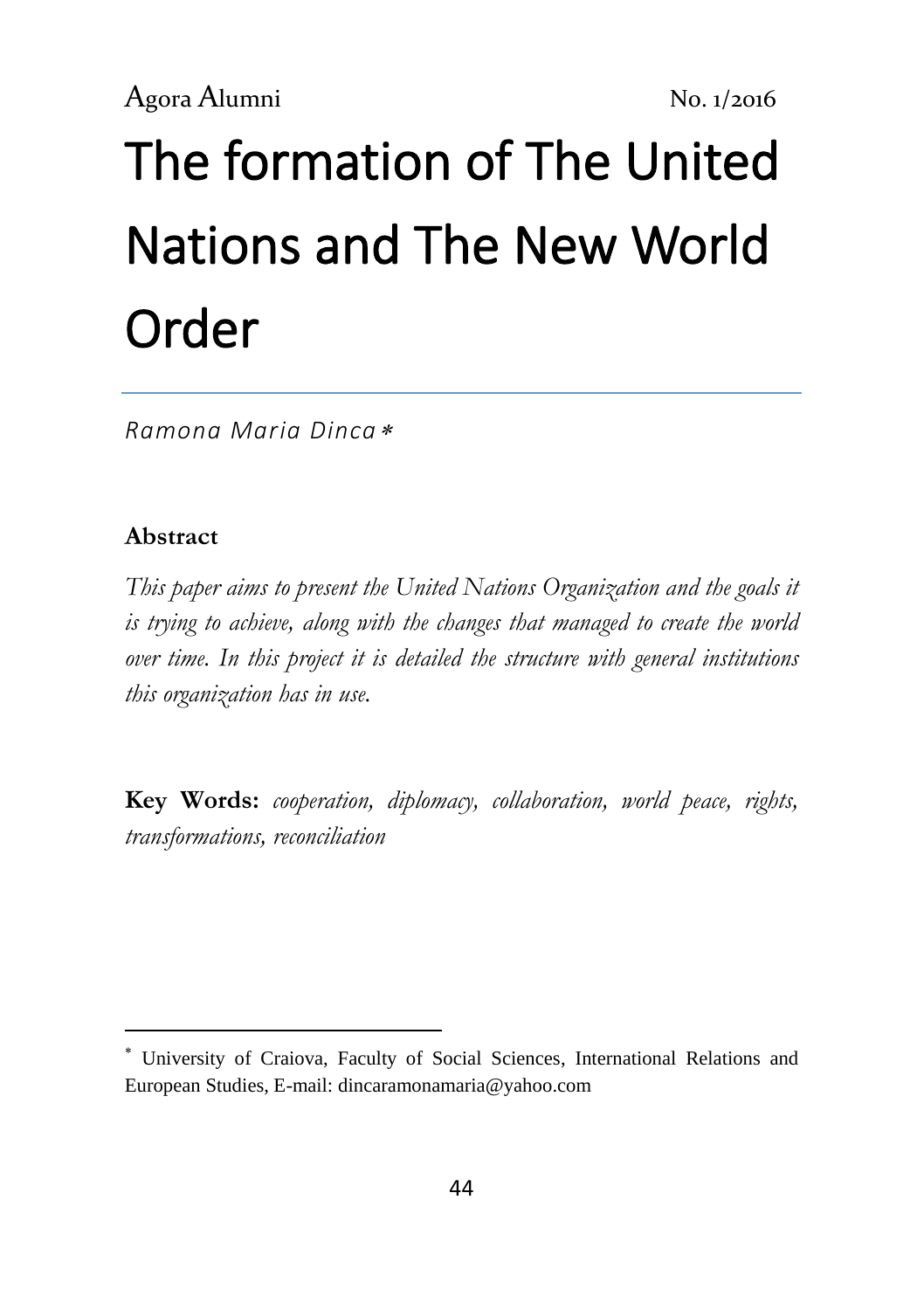# The formation of [The United](https://www.google.ro/url?sa=t&rct=j&q=&esrc=s&source=web&cd=10&cad=rja&uact=8&ved=0ahUKEwjG8dq6_JzMAhXDJZoKHTn0BVoQFghhMAk&url=http%3A%2F%2Fwww.bibliotecapleyades.net%2Fsociopolitica%2Fesp_sociopol_un04.htm&usg=AFQjCNECTxrm1gP2BQ0H_tUfGo1Xhc9XxQ&sig2=q0sqi-Kxug946AEjkoLCTg&bvm=bv.119745492,d.bGs)  [Nations and The New World](https://www.google.ro/url?sa=t&rct=j&q=&esrc=s&source=web&cd=10&cad=rja&uact=8&ved=0ahUKEwjG8dq6_JzMAhXDJZoKHTn0BVoQFghhMAk&url=http%3A%2F%2Fwww.bibliotecapleyades.net%2Fsociopolitica%2Fesp_sociopol_un04.htm&usg=AFQjCNECTxrm1gP2BQ0H_tUfGo1Xhc9XxQ&sig2=q0sqi-Kxug946AEjkoLCTg&bvm=bv.119745492,d.bGs)  [Order](https://www.google.ro/url?sa=t&rct=j&q=&esrc=s&source=web&cd=10&cad=rja&uact=8&ved=0ahUKEwjG8dq6_JzMAhXDJZoKHTn0BVoQFghhMAk&url=http%3A%2F%2Fwww.bibliotecapleyades.net%2Fsociopolitica%2Fesp_sociopol_un04.htm&usg=AFQjCNECTxrm1gP2BQ0H_tUfGo1Xhc9XxQ&sig2=q0sqi-Kxug946AEjkoLCTg&bvm=bv.119745492,d.bGs)

*Ramona Maria Dinca*

## **Abstract**

**.** 

*This paper aims to present the United Nations Organization and the goals it is trying to achieve, along with the changes that managed to create the world over time. In this project it is detailed the structure with general institutions this organization has in use.*

**Key Words:** *cooperation, diplomacy, collaboration, world peace, rights, transformations, reconciliation*

University of Craiova, Faculty of Social Sciences, International Relations and European Studies, E-mail[: dincaramonamaria@yahoo.com](mailto:dincaramonamaria@yahoo.com)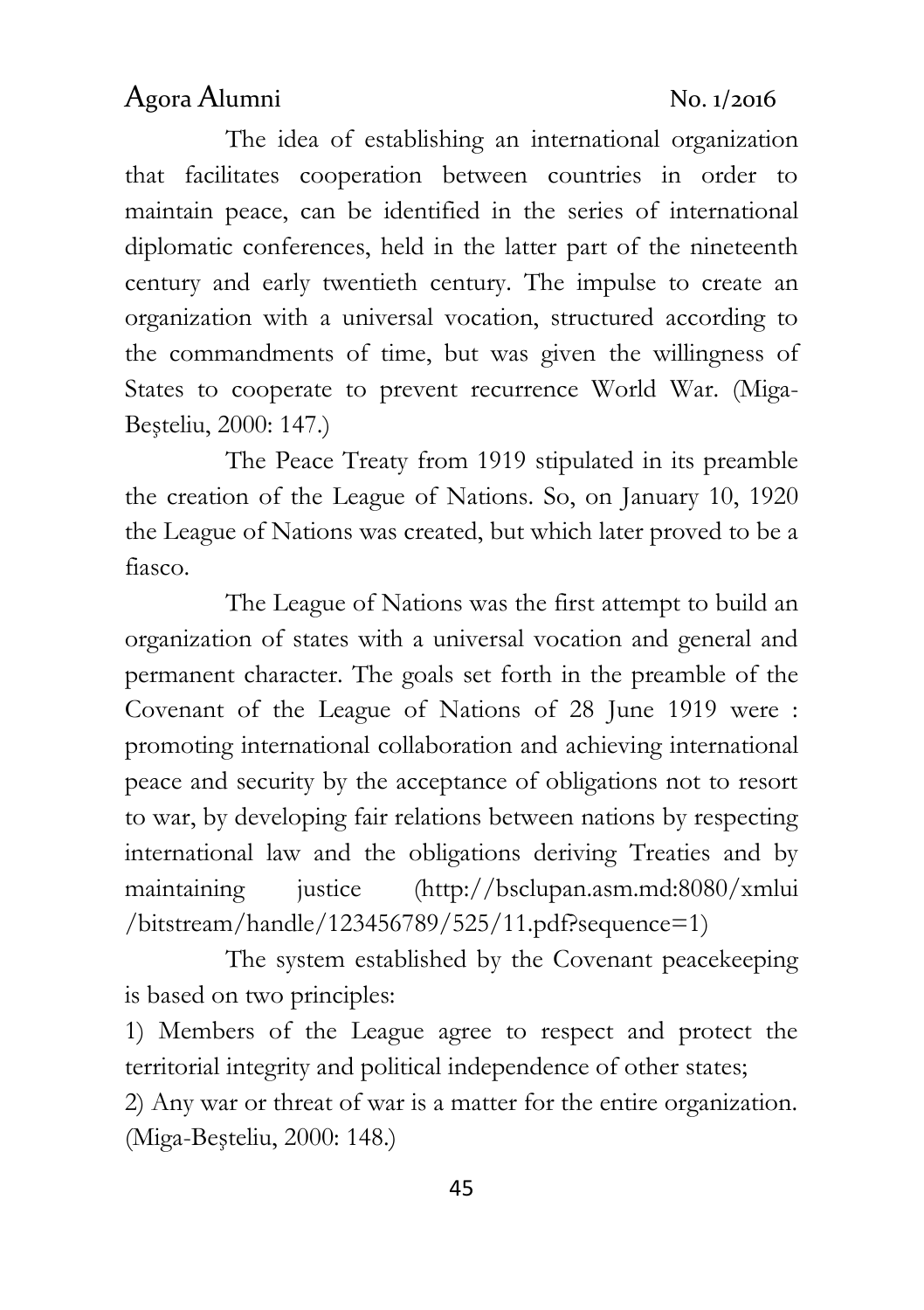The idea of establishing an international organization that facilitates cooperation between countries in order to maintain peace, can be identified in the series of international diplomatic conferences, held in the latter part of the nineteenth century and early twentieth century. The impulse to create an organization with a universal vocation, structured according to the commandments of time, but was given the willingness of States to cooperate to prevent recurrence World War. (Miga-Beşteliu, 2000: 147.)

The Peace Treaty from 1919 stipulated in its preamble the creation of the League of Nations. So, on January 10, 1920 the League of Nations was created, but which later proved to be a fiasco.

The League of Nations was the first attempt to build an organization of states with a universal vocation and general and permanent character. The goals set forth in the preamble of the Covenant of the League of Nations of 28 June 1919 were : promoting international collaboration and achieving international peace and security by the acceptance of obligations not to resort to war, by developing fair relations between nations by respecting international law and the obligations deriving Treaties and by maintaining justice [\(http://bsclupan.asm.md:8080/xmlui](http://bsclupan.asm.md:8080/xmlui%20/bitstream/handle/123456789/525/11.pdf?sequence=1)  [/bitstream/handle/123456789/525/11.pdf?sequence=1\)](http://bsclupan.asm.md:8080/xmlui%20/bitstream/handle/123456789/525/11.pdf?sequence=1)

The system established by the Covenant peacekeeping is based on two principles:

1) Members of the League agree to respect and protect the territorial integrity and political independence of other states;

2) Any war or threat of war is a matter for the entire organization. (Miga-Beşteliu, 2000: 148.)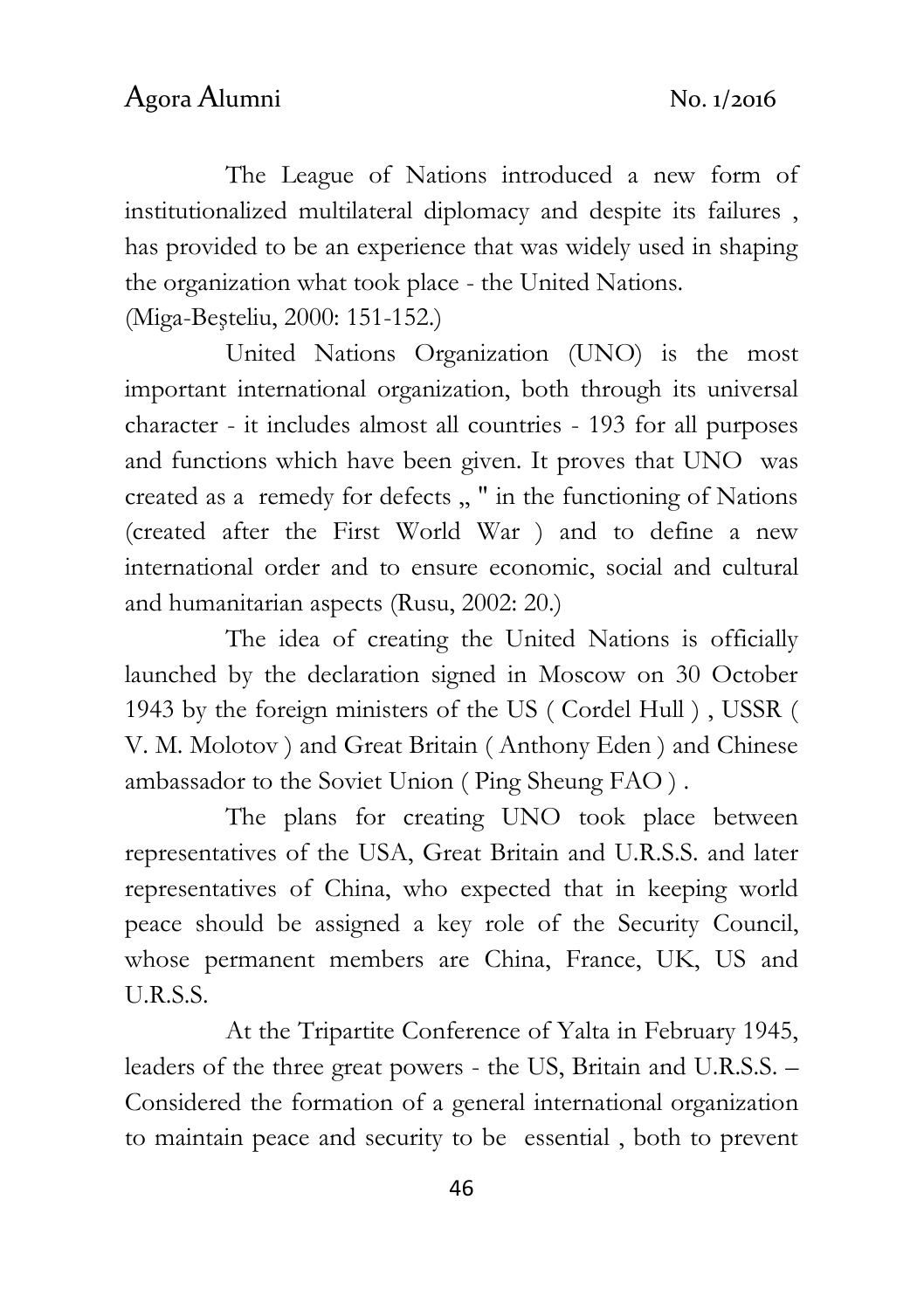The League of Nations introduced a new form of institutionalized multilateral diplomacy and despite its failures , has provided to be an experience that was widely used in shaping the organization what took place - the United Nations.

(Miga-Beşteliu, 2000: 151-152.)

United Nations Organization (UNO) is the most important international organization, both through its universal character - it includes almost all countries - 193 for all purposes and functions which have been given. It proves that UNO was created as a remedy for defects ,, " in the functioning of Nations (created after the First World War ) and to define a new international order and to ensure economic, social and cultural and humanitarian aspects (Rusu, 2002: 20.)

The idea of creating the United Nations is officially launched by the declaration signed in Moscow on 30 October 1943 by the foreign ministers of the US ( Cordel Hull ) , USSR ( V. M. Molotov ) and Great Britain ( Anthony Eden ) and Chinese ambassador to the Soviet Union ( Ping Sheung FAO ) .

The plans for creating UNO took place between representatives of the USA, Great Britain and U.R.S.S. and later representatives of China, who expected that in keeping world peace should be assigned a key role of the Security Council, whose permanent members are China, France, UK, US and U.R.S.S.

At the Tripartite Conference of Yalta in February 1945, leaders of the three great powers - the US, Britain and U.R.S.S. – Considered the formation of a general international organization to maintain peace and security to be essential , both to prevent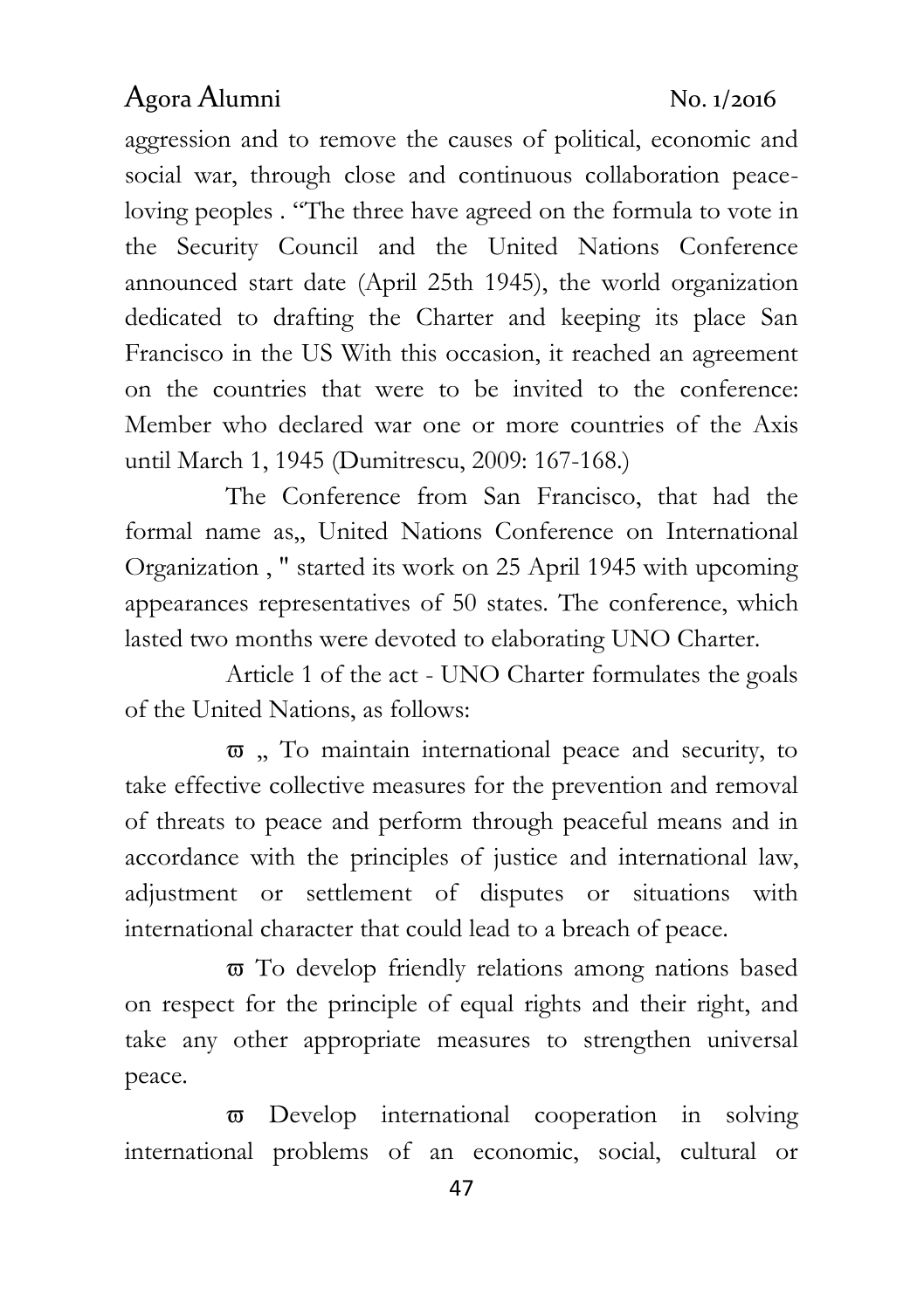aggression and to remove the causes of political, economic and social war, through close and continuous collaboration peaceloving peoples . "The three have agreed on the formula to vote in the Security Council and the United Nations Conference announced start date (April 25th 1945), the world organization dedicated to drafting the Charter and keeping its place San Francisco in the US With this occasion, it reached an agreement on the countries that were to be invited to the conference: Member who declared war one or more countries of the Axis until March 1, 1945 (Dumitrescu, 2009: 167-168.)

The Conference from San Francisco, that had the formal name as,, United Nations Conference on International Organization , " started its work on 25 April 1945 with upcoming appearances representatives of 50 states. The conference, which lasted two months were devoted to elaborating UNO Charter.

Article 1 of the act - UNO Charter formulates the goals of the United Nations, as follows:

 $\overline{\omega}$ , To maintain international peace and security, to take effective collective measures for the prevention and removal of threats to peace and perform through peaceful means and in accordance with the principles of justice and international law, adjustment or settlement of disputes or situations with international character that could lead to a breach of peace.

 To develop friendly relations among nations based on respect for the principle of equal rights and their right, and take any other appropriate measures to strengthen universal peace.

 Develop international cooperation in solving international problems of an economic, social, cultural or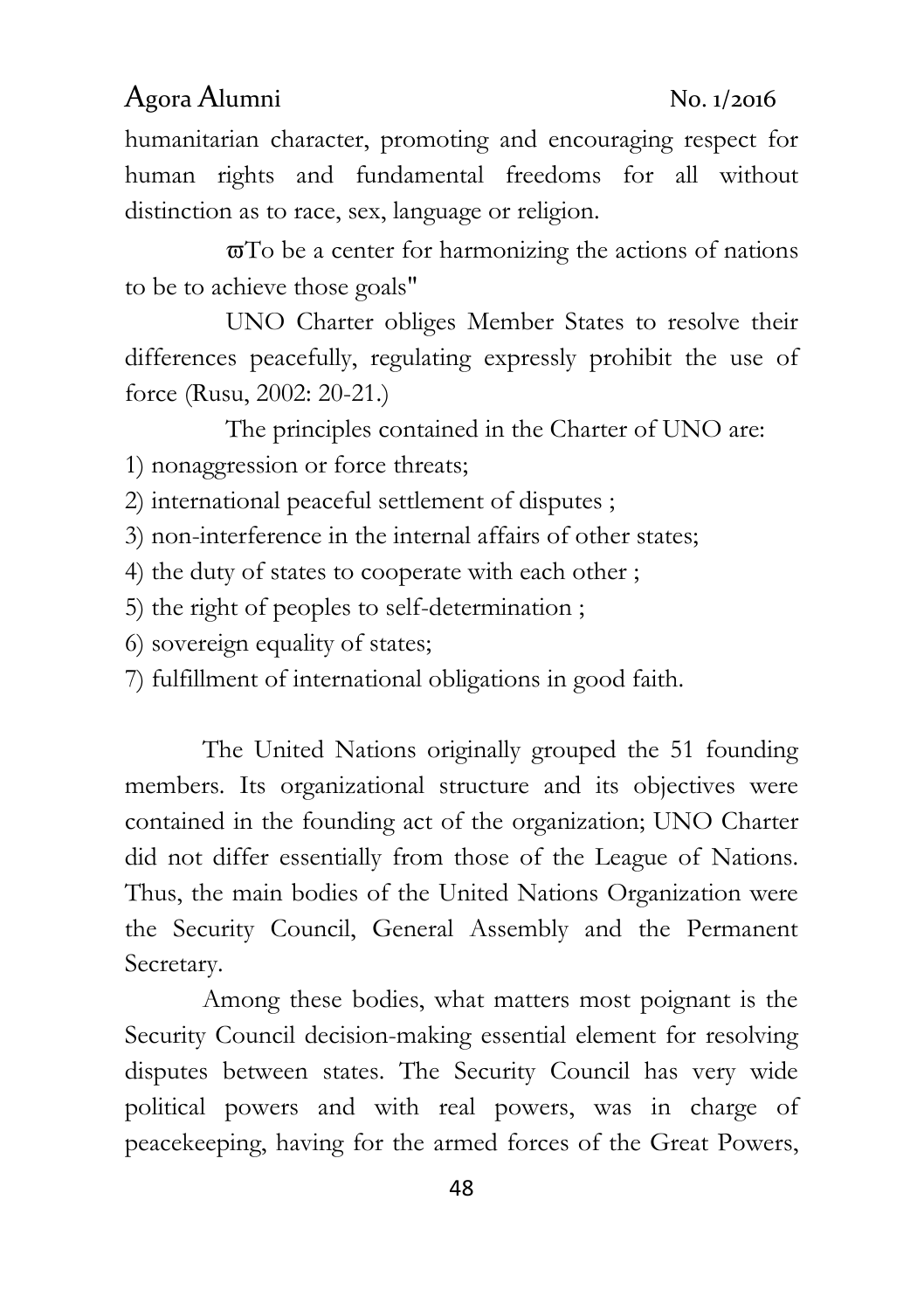humanitarian character, promoting and encouraging respect for human rights and fundamental freedoms for all without distinction as to race, sex, language or religion.

 $\overline{\sigma}$ To be a center for harmonizing the actions of nations to be to achieve those goals"

UNO Charter obliges Member States to resolve their differences peacefully, regulating expressly prohibit the use of force (Rusu, 2002: 20-21.)

The principles contained in the Charter of UNO are:

1) nonaggression or force [threats](http://hallo.ro/search.do?l=ro&d=en&query=threat);

2) international peaceful settlement of disputes ;

3) non-interference in the internal affairs of other states;

4) the duty of states to cooperate with each other ;

5) the right of peoples to self-determination ;

6) sovereign equality of states;

7) fulfillment of international obligations in good faith.

The United Nations originally grouped the 51 founding members. Its organizational structure and its objectives were contained in the founding act of the organization; UNO Charter did not differ essentially from those of the League of Nations. Thus, the main bodies of the United Nations Organization were the Security Council, General Assembly and the Permanent Secretary.

Among these bodies, what matters most poignant is the Security Council decision-making essential element for resolving disputes between states. The Security Council has very wide political powers and with real powers, was in charge of peacekeeping, having for the armed forces of the Great Powers,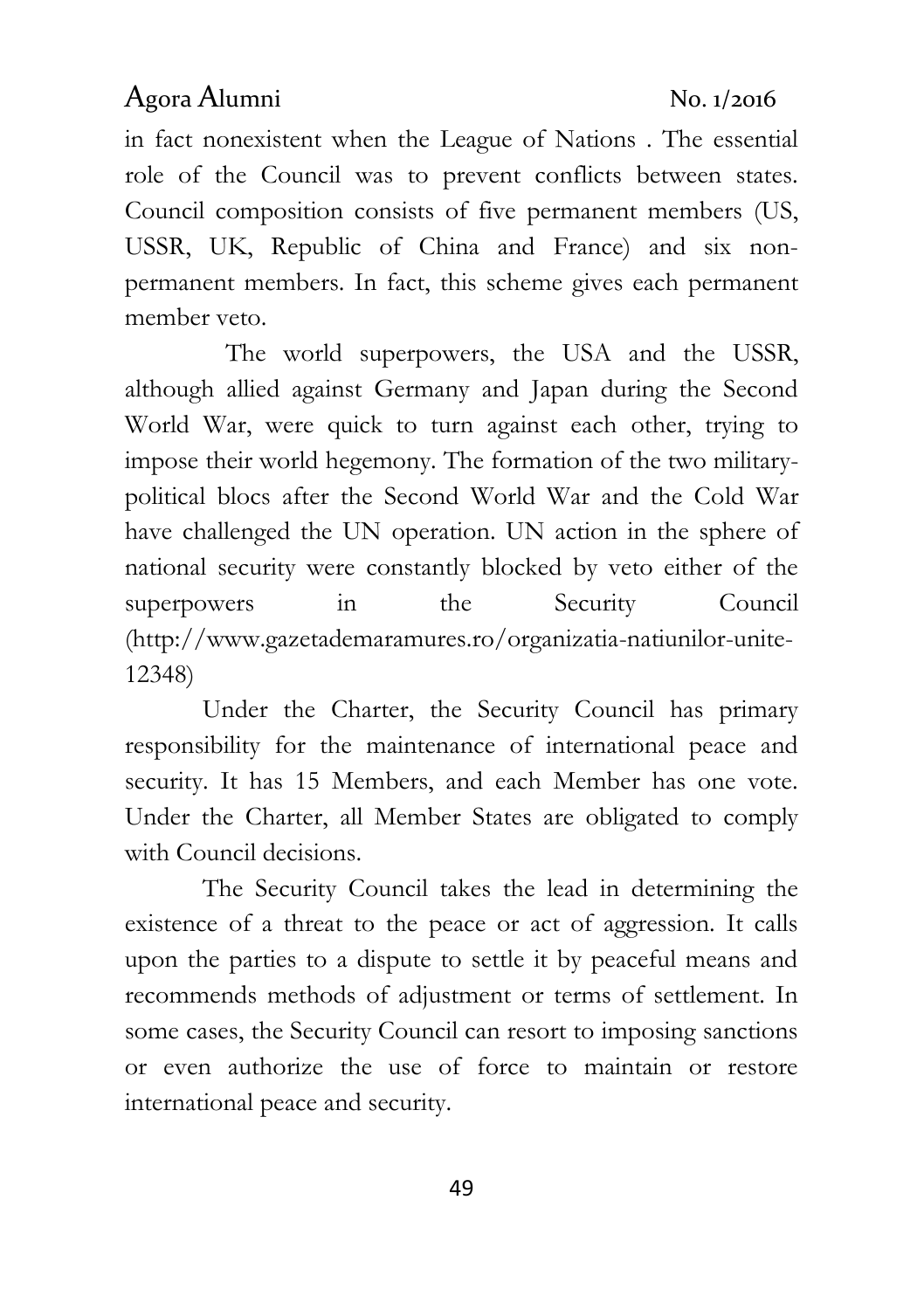in fact nonexistent when the League of Nations . The essential role of the Council was to prevent conflicts between states. Council composition consists of five permanent members (US, USSR, UK, Republic of China and France) and six nonpermanent members. In fact, this scheme gives each permanent member veto.

The world superpowers, the USA and the USSR, although allied against Germany and Japan during the Second World War, were quick to turn against each other, trying to impose their world hegemony. The formation of the two militarypolitical blocs after the Second World War and the Cold War have challenged the UN operation. UN action in the sphere of national security were constantly blocked by veto either of the superpowers in the Security Council [\(http://www.gazetademaramures.ro/organizatia-natiunilor-unite-](http://www.gazetademaramures.ro/organizatia-natiunilor-unite-12348)[12348\)](http://www.gazetademaramures.ro/organizatia-natiunilor-unite-12348)

Under the Charter, the Security Council has primary responsibility for the maintenance of international peace and security. It has 15 Members, and each Member has one vote. Under the Charter, all Member States are obligated to comply with Council decisions.

The Security Council takes the lead in determining the existence of a threat to the peace or act of aggression. It calls upon the parties to a dispute to settle it by peaceful means and recommends methods of adjustment or terms of settlement. In some cases, the Security Council can resort to imposing sanctions or even authorize the use of force to maintain or restore international peace and security.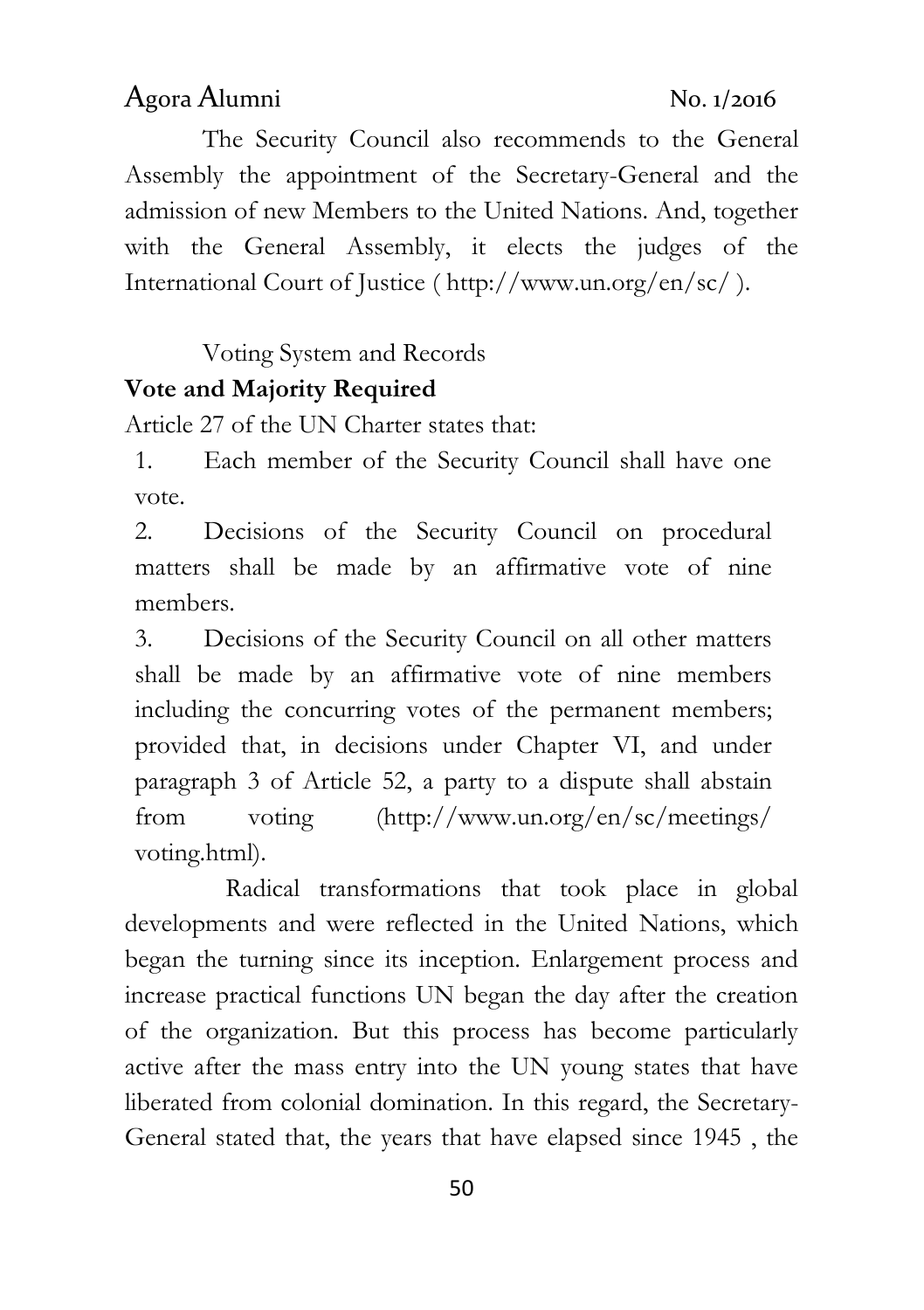The Security Council also recommends to the General Assembly the appointment of the Secretary-General and the admission of new Members to the United Nations. And, together with the General Assembly, it elects the judges of the International Court of Justice (<http://www.un.org/en/sc/> ).

Voting System and Records

# **Vote and Majority Required**

[Article 27 of the UN Charter](http://www.un.org/en/sections/un-charter/chapter-v/index.html) states that:

1. Each member of the Security Council shall have one vote.

2. Decisions of the Security Council on procedural matters shall be made by an affirmative vote of nine members.

3. Decisions of the Security Council on all other matters shall be made by an affirmative vote of nine members including the concurring votes of the permanent members; provided that, in decisions under Chapter VI, and under paragraph 3 of Article 52, a party to a dispute shall abstain from voting [\(http://www.un.org/en/sc/meetings/](http://www.un.org/en/sc/meetings/%20voting.html)  [voting.html\)](http://www.un.org/en/sc/meetings/%20voting.html).

Radical transformations that took place in global developments and were reflected in the United Nations, which began the turning since its inception. Enlargement process and increase practical functions UN began the day after the creation of the organization. But this process has become particularly active after the mass entry into the UN young states that have liberated from colonial domination. In this regard, the Secretary-General stated that, the years that have elapsed since 1945 , the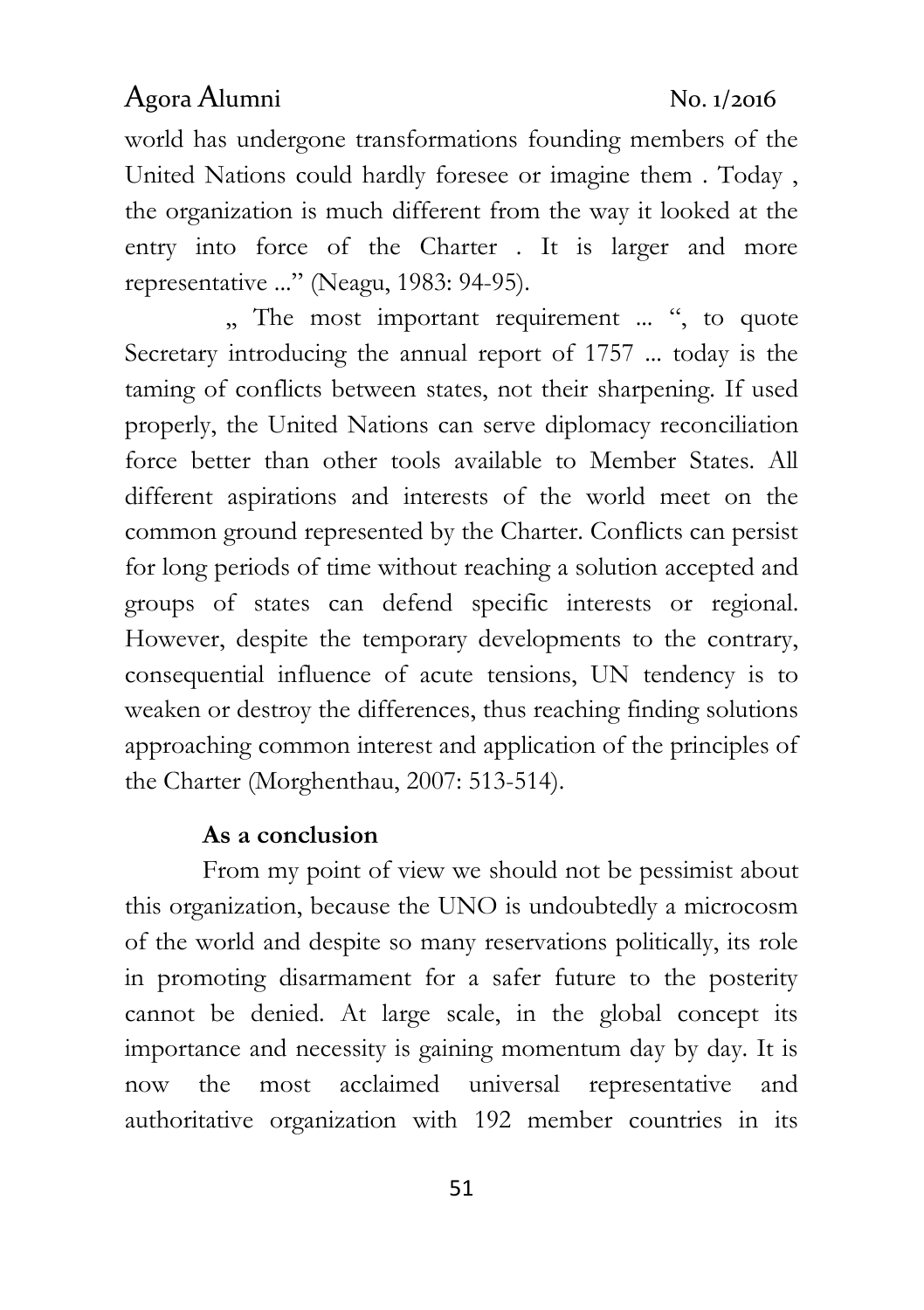world has undergone transformations founding members of the United Nations could hardly foresee or imagine them . Today , the organization is much different from the way it looked at the entry into force of the Charter . It is larger and more representative ..." (Neagu, 1983: 94-95).

,, The most important requirement ... ", to quote Secretary introducing the annual report of 1757 ... today is the taming of conflicts between states, not their sharpening. If used properly, the United Nations can serve diplomacy reconciliation force better than other tools available to Member States. All different aspirations and interests of the world meet on the common ground represented by the Charter. Conflicts can persist for long periods of time without reaching a solution accepted and groups of states can defend specific interests or regional. However, despite the temporary developments to the contrary, consequential influence of acute tensions, UN tendency is to weaken or destroy the differences, thus reaching finding solutions approaching common interest and application of the principles of the Charter (Morghenthau, 2007: 513-514).

### **As a conclusion**

From my point of view we should not be pessimist about this organization, because the UNO is undoubtedly a microcosm of the world and despite so many reservations politically, its role in promoting disarmament for a safer future to the posterity cannot be denied. At large scale, in the global concept its importance and necessity is gaining momentum day by day. It is now the most acclaimed universal representative and authoritative organization with 192 member countries in its